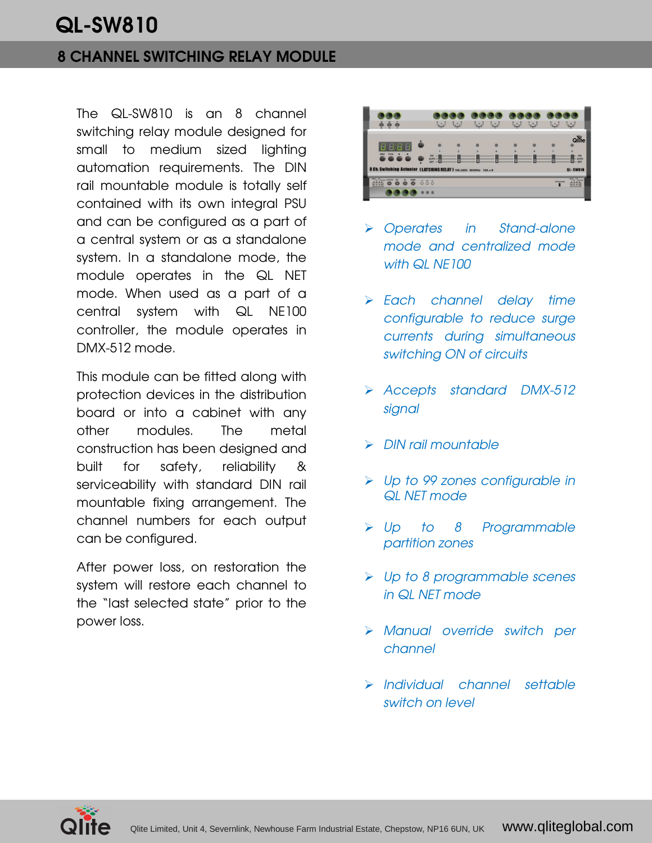# QL-SW810

### 8 CHANNEL SWITCHING RELAY MODULE

The QL-SW810 is an 8 channel switching relay module designed for small to medium sized lighting automation requirements. The DIN rail mountable module is totally self contained with its own integral PSU and can be configured as a part of a central system or as a standalone system. In a standalone mode, the module operates in the QL NET mode. When used as a part of a central system with QL NE100 controller, the module operates in DMX-512 mode.

This module can be fitted along with protection devices in the distribution board or into a cabinet with any other modules. The metal construction has been designed and built for safety, reliability & serviceability with standard DIN rail mountable fixing arrangement. The channel numbers for each output can be configured.

After power loss, on restoration the system will restore each channel to the "last selected state" prior to the power loss.



- Operates in Stand-alone mode and centralized mode with QL NE100
- > Each channel delay time configurable to reduce surge currents during simultaneous switching ON of circuits
- Accepts standard DMX-512 signal
- > DIN rail mountable
- > Up to 99 zones configurable in QL NET mode
- > Up to 8 Programmable partition zones
- > Up to 8 programmable scenes in QL NET mode
- Manual override switch per channel
- > Individual channel settable switch on level

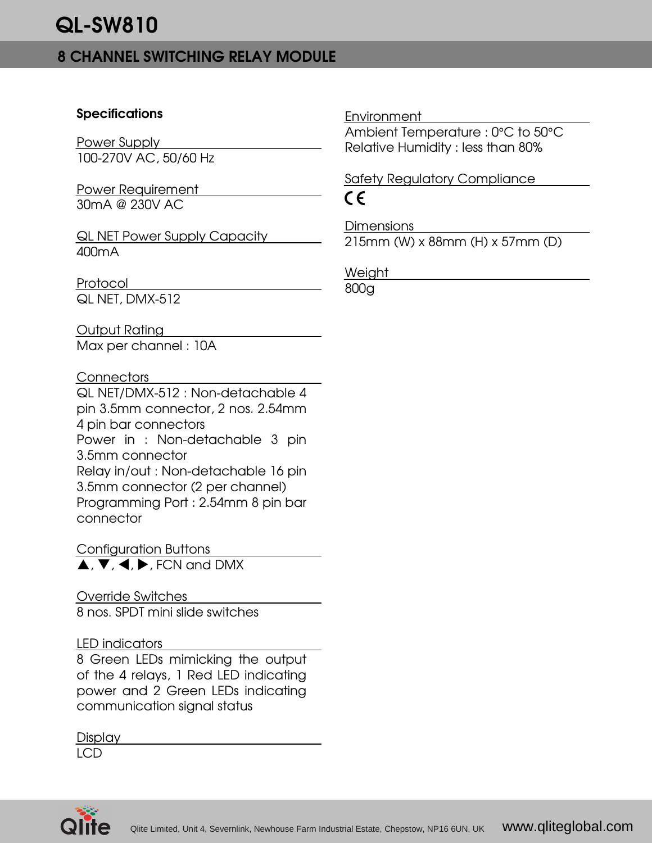## 8 CHANNEL SWITCHING RELAY MODULE

### **Specifications**

Power Supply 100-270V AC, 50/60 Hz

Power Requirement 30mA @ 230V AC

QL NET Power Supply Capacity 400mA

Protocol QL NET, DMX-512

Output Rating

Max per channel : 10A

### **Connectors**

QL NET/DMX-512 : Non-detachable 4 pin 3.5mm connector, 2 nos. 2.54mm 4 pin bar connectors Power in : Non-detachable 3 pin 3.5mm connector Relay in/out : Non-detachable 16 pin 3.5mm connector (2 per channel) Programming Port : 2.54mm 8 pin bar connector

Configuration Buttons  $\blacktriangle$ ,  $\nabla$ ,  $\blacktriangleleft$ ,  $\blacktriangleright$ , FCN and DMX

### Override Switches

8 nos. SPDT mini slide switches

### LED indicators

8 Green LEDs mimicking the output of the 4 relays, 1 Red LED indicating power and 2 Green LEDs indicating communication signal status

Display

LCD



Ambient Temperature : 0°C to 50°C Relative Humidity : less than 80%

Safety Regulatory Compliance  $\epsilon$ 

**Dimensions** 215mm (W) x 88mm (H) x 57mm (D)

Weight

800g

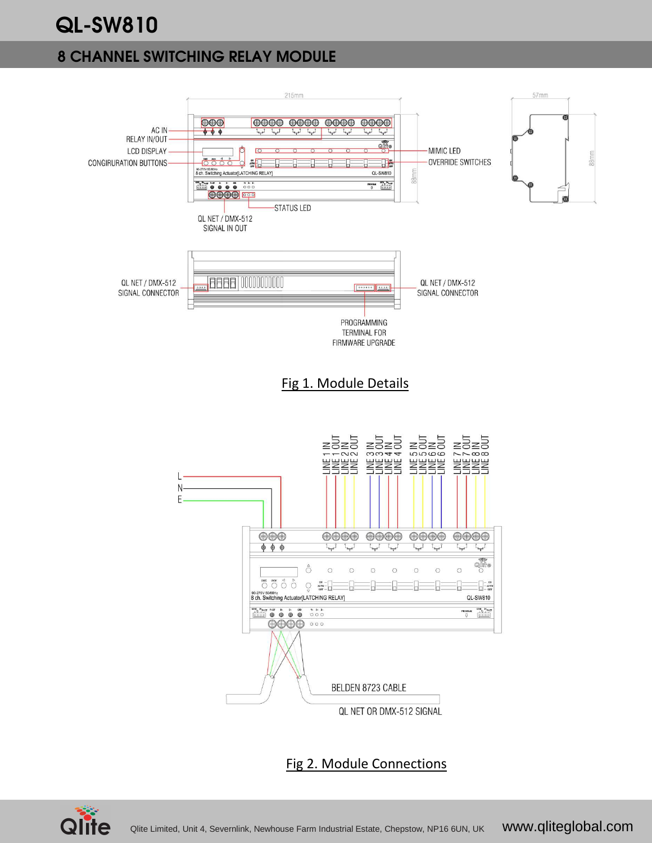# QL-SW810

## 8 CHANNEL SWITCHING RELAY MODULE



### Fig 2. Module Connections